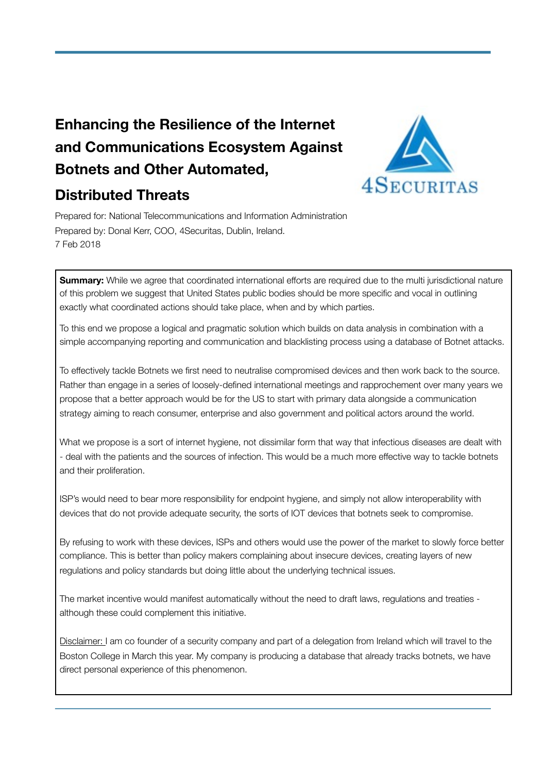# **Enhancing the Resilience of the Internet and Communications Ecosystem Against Botnets and Other Automated,**



# **Distributed Threats**

Prepared for: National Telecommunications and Information Administration Prepared by: Donal Kerr, COO, 4Securitas, Dublin, Ireland. 7 Feb 2018

**Summary:** While we agree that coordinated international efforts are required due to the multi jurisdictional nature of this problem we suggest that United States public bodies should be more specific and vocal in outlining exactly what coordinated actions should take place, when and by which parties.

To this end we propose a logical and pragmatic solution which builds on data analysis in combination with a simple accompanying reporting and communication and blacklisting process using a database of Botnet attacks.

To effectively tackle Botnets we first need to neutralise compromised devices and then work back to the source. Rather than engage in a series of loosely-defined international meetings and rapprochement over many years we propose that a better approach would be for the US to start with primary data alongside a communication strategy aiming to reach consumer, enterprise and also government and political actors around the world.

What we propose is a sort of internet hygiene, not dissimilar form that way that infectious diseases are dealt with - deal with the patients and the sources of infection. This would be a much more effective way to tackle botnets and their proliferation.

ISP's would need to bear more responsibility for endpoint hygiene, and simply not allow interoperability with devices that do not provide adequate security, the sorts of IOT devices that botnets seek to compromise.

By refusing to work with these devices, ISPs and others would use the power of the market to slowly force better compliance. This is better than policy makers complaining about insecure devices, creating layers of new regulations and policy standards but doing little about the underlying technical issues.

The market incentive would manifest automatically without the need to draft laws, regulations and treaties although these could complement this initiative.

Disclaimer: I am co founder of a security company and part of a delegation from Ireland which will travel to the Boston College in March this year. My company is producing a database that already tracks botnets, we have direct personal experience of this phenomenon.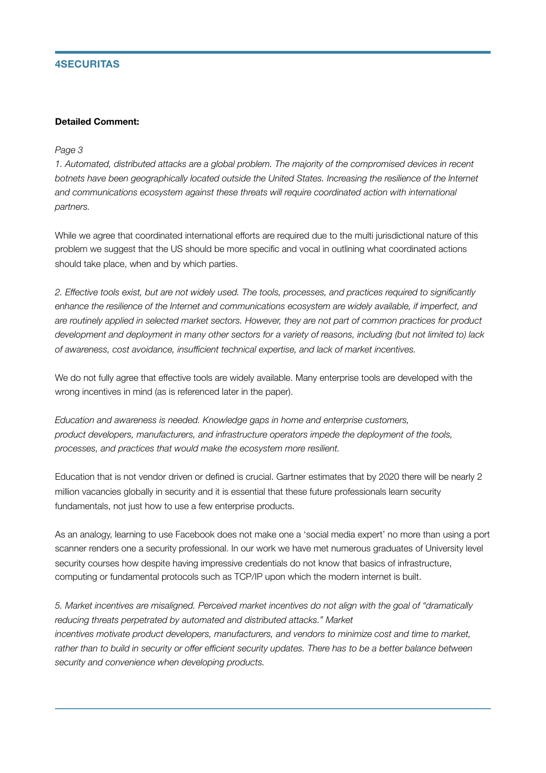## **4SECURITAS**

#### **Detailed Comment:**

#### *Page 3*

*1. Automated, distributed attacks are a global problem. The majority of the compromised devices in recent*  botnets have been geographically located outside the United States. Increasing the resilience of the Internet *and communications ecosystem against these threats will require coordinated action with international partners.* 

While we agree that coordinated international efforts are required due to the multi jurisdictional nature of this problem we suggest that the US should be more specific and vocal in outlining what coordinated actions should take place, when and by which parties.

*2. Effective tools exist, but are not widely used. The tools, processes, and practices required to significantly enhance the resilience of the Internet and communications ecosystem are widely available, if imperfect, and are routinely applied in selected market sectors. However, they are not part of common practices for product development and deployment in many other sectors for a variety of reasons, including (but not limited to) lack of awareness, cost avoidance, insufficient technical expertise, and lack of market incentives.* 

We do not fully agree that effective tools are widely available. Many enterprise tools are developed with the wrong incentives in mind (as is referenced later in the paper).

*Education and awareness is needed. Knowledge gaps in home and enterprise customers, product developers, manufacturers, and infrastructure operators impede the deployment of the tools, processes, and practices that would make the ecosystem more resilient.* 

Education that is not vendor driven or defined is crucial. Gartner estimates that by 2020 there will be nearly 2 million vacancies globally in security and it is essential that these future professionals learn security fundamentals, not just how to use a few enterprise products.

As an analogy, learning to use Facebook does not make one a 'social media expert' no more than using a port scanner renders one a security professional. In our work we have met numerous graduates of University level security courses how despite having impressive credentials do not know that basics of infrastructure, computing or fundamental protocols such as TCP/IP upon which the modern internet is built.

*5. Market incentives are misaligned. Perceived market incentives do not align with the goal of "dramatically reducing threats perpetrated by automated and distributed attacks." Market incentives motivate product developers, manufacturers, and vendors to minimize cost and time to market,*  rather than to build in security or offer efficient security updates. There has to be a better balance between *security and convenience when developing products.*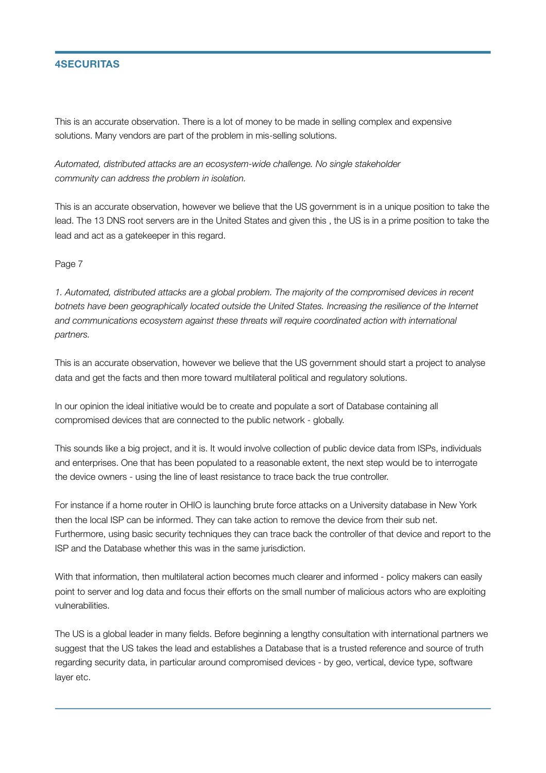## **4SECURITAS**

This is an accurate observation. There is a lot of money to be made in selling complex and expensive solutions. Many vendors are part of the problem in mis-selling solutions.

*Automated, distributed attacks are an ecosystem-wide challenge. No single stakeholder community can address the problem in isolation.* 

This is an accurate observation, however we believe that the US government is in a unique position to take the lead. The 13 DNS root servers are in the United States and given this , the US is in a prime position to take the lead and act as a gatekeeper in this regard.

Page 7

*1. Automated, distributed attacks are a global problem. The majority of the compromised devices in recent*  botnets have been geographically located outside the United States. Increasing the resilience of the Internet *and communications ecosystem against these threats will require coordinated action with international partners.* 

This is an accurate observation, however we believe that the US government should start a project to analyse data and get the facts and then more toward multilateral political and regulatory solutions.

In our opinion the ideal initiative would be to create and populate a sort of Database containing all compromised devices that are connected to the public network - globally.

This sounds like a big project, and it is. It would involve collection of public device data from ISPs, individuals and enterprises. One that has been populated to a reasonable extent, the next step would be to interrogate the device owners - using the line of least resistance to trace back the true controller.

For instance if a home router in OHIO is launching brute force attacks on a University database in New York then the local ISP can be informed. They can take action to remove the device from their sub net. Furthermore, using basic security techniques they can trace back the controller of that device and report to the ISP and the Database whether this was in the same jurisdiction.

With that information, then multilateral action becomes much clearer and informed - policy makers can easily point to server and log data and focus their efforts on the small number of malicious actors who are exploiting vulnerabilities.

The US is a global leader in many fields. Before beginning a lengthy consultation with international partners we suggest that the US takes the lead and establishes a Database that is a trusted reference and source of truth regarding security data, in particular around compromised devices - by geo, vertical, device type, software layer etc.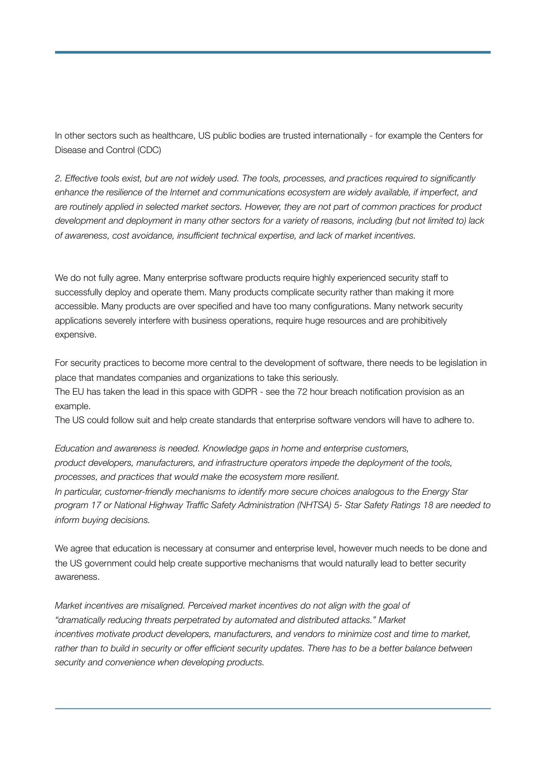In other sectors such as healthcare, US public bodies are trusted internationally - for example the Centers for Disease and Control (CDC)

*2. Effective tools exist, but are not widely used. The tools, processes, and practices required to significantly enhance the resilience of the Internet and communications ecosystem are widely available, if imperfect, and are routinely applied in selected market sectors. However, they are not part of common practices for product development and deployment in many other sectors for a variety of reasons, including (but not limited to) lack of awareness, cost avoidance, insufficient technical expertise, and lack of market incentives.* 

We do not fully agree. Many enterprise software products require highly experienced security staff to successfully deploy and operate them. Many products complicate security rather than making it more accessible. Many products are over specified and have too many configurations. Many network security applications severely interfere with business operations, require huge resources and are prohibitively expensive.

For security practices to become more central to the development of software, there needs to be legislation in place that mandates companies and organizations to take this seriously.

The EU has taken the lead in this space with GDPR - see the 72 hour breach notification provision as an example.

The US could follow suit and help create standards that enterprise software vendors will have to adhere to.

*Education and awareness is needed. Knowledge gaps in home and enterprise customers, product developers, manufacturers, and infrastructure operators impede the deployment of the tools, processes, and practices that would make the ecosystem more resilient. In particular, customer-friendly mechanisms to identify more secure choices analogous to the Energy Star program 17 or National Highway Traffic Safety Administration (NHTSA) 5- Star Safety Ratings 18 are needed to inform buying decisions.* 

We agree that education is necessary at consumer and enterprise level, however much needs to be done and the US government could help create supportive mechanisms that would naturally lead to better security awareness.

*Market incentives are misaligned. Perceived market incentives do not align with the goal of "dramatically reducing threats perpetrated by automated and distributed attacks." Market incentives motivate product developers, manufacturers, and vendors to minimize cost and time to market,*  rather than to build in security or offer efficient security updates. There has to be a better balance between *security and convenience when developing products.*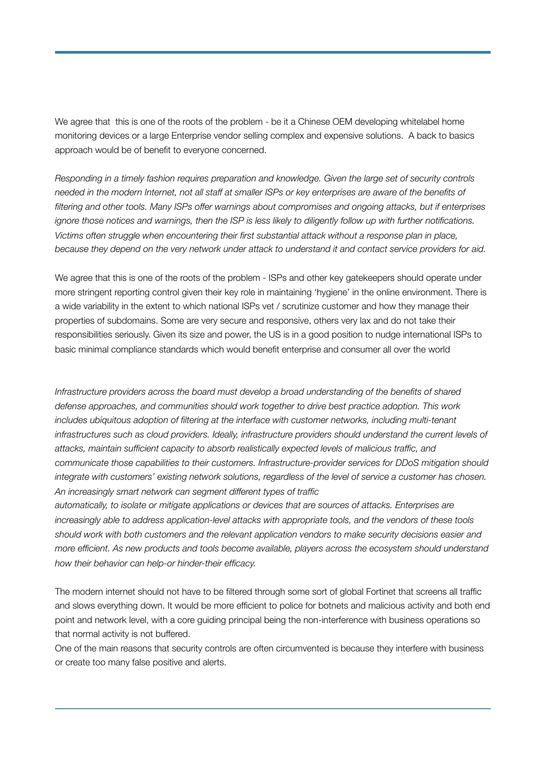We agree that this is one of the roots of the problem - be it a Chinese OEM developing whitelabel home monitoring devices or a large Enterprise vendor selling complex and expensive solutions. A back to basics approach would be of benefit to everyone concerned.

*Responding in a timely fashion requires preparation and knowledge. Given the large set of security controls needed in the modern Internet, not all staff at smaller ISPs or key enterprises are aware of the benefits of filtering and other tools. Many ISPs offer warnings about compromises and ongoing attacks, but if enterprises ignore those notices and warnings, then the ISP is less likely to diligently follow up with further notifications. Victims often struggle when encountering their first substantial attack without a response plan in place, because they depend on the very network under attack to understand it and contact service providers for aid.* 

We agree that this is one of the roots of the problem - ISPs and other key gatekeepers should operate under more stringent reporting control given their key role in maintaining 'hygiene' in the online environment. There is a wide variability in the extent to which national ISPs vet / scrutinize customer and how they manage their properties of subdomains. Some are very secure and responsive, others very lax and do not take their responsibilities seriously. Given its size and power, the US is in a good position to nudge international ISPs to basic minimal compliance standards which would benefit enterprise and consumer all over the world

*Infrastructure providers across the board must develop a broad understanding of the benefits of shared defense approaches, and communities should work together to drive best practice adoption. This work includes ubiquitous adoption of filtering at the interface with customer networks, including multi-tenant*  infrastructures such as cloud providers. Ideally, infrastructure providers should understand the current levels of *attacks, maintain sufficient capacity to absorb realistically expected levels of malicious traffic, and communicate those capabilities to their customers. Infrastructure-provider services for DDoS mitigation should integrate with customers' existing network solutions, regardless of the level of service a customer has chosen. An increasingly smart network can segment different types of traffic* 

*automatically, to isolate or mitigate applications or devices that are sources of attacks. Enterprises are increasingly able to address application-level attacks with appropriate tools, and the vendors of these tools should work with both customers and the relevant application vendors to make security decisions easier and more efficient. As new products and tools become available, players across the ecosystem should understand how their behavior can help-or hinder-their efficacy.* 

The modern internet should not have to be filtered through some sort of global Fortinet that screens all traffic and slows everything down. It would be more efficient to police for botnets and malicious activity and both end point and network level, with a core guiding principal being the non-interference with business operations so that normal activity is not buffered.

One of the main reasons that security controls are often circumvented is because they interfere with business or create too many false positive and alerts.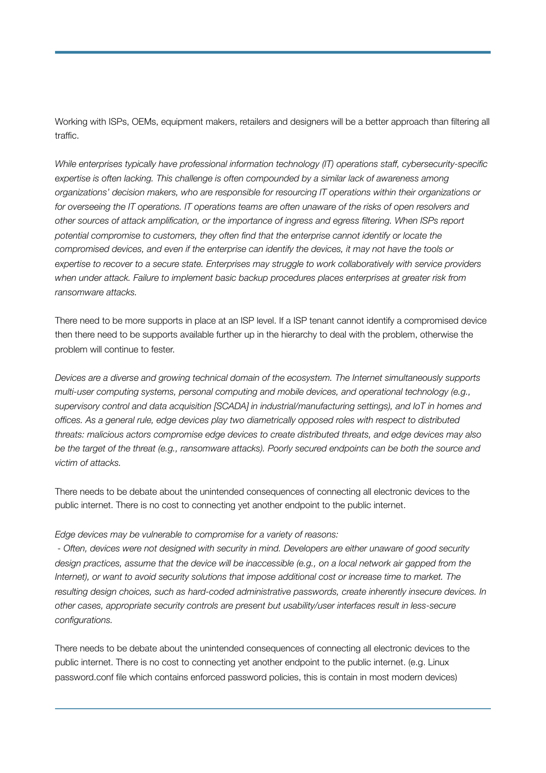Working with ISPs, OEMs, equipment makers, retailers and designers will be a better approach than filtering all traffic.

*While enterprises typically have professional information technology (IT) operations staff, cybersecurity-specific expertise is often lacking. This challenge is often compounded by a similar lack of awareness among organizations' decision makers, who are responsible for resourcing IT operations within their organizations or for overseeing the IT operations. IT operations teams are often unaware of the risks of open resolvers and other sources of attack amplification, or the importance of ingress and egress filtering. When ISPs report potential compromise to customers, they often find that the enterprise cannot identify or locate the compromised devices, and even if the enterprise can identify the devices, it may not have the tools or expertise to recover to a secure state. Enterprises may struggle to work collaboratively with service providers when under attack. Failure to implement basic backup procedures places enterprises at greater risk from ransomware attacks.* 

There need to be more supports in place at an ISP level. If a ISP tenant cannot identify a compromised device then there need to be supports available further up in the hierarchy to deal with the problem, otherwise the problem will continue to fester.

*Devices are a diverse and growing technical domain of the ecosystem. The Internet simultaneously supports multi-user computing systems, personal computing and mobile devices, and operational technology (e.g., supervisory control and data acquisition [SCADA] in industrial/manufacturing settings), and IoT in homes and offices. As a general rule, edge devices play two diametrically opposed roles with respect to distributed threats: malicious actors compromise edge devices to create distributed threats, and edge devices may also be the target of the threat (e.g., ransomware attacks). Poorly secured endpoints can be both the source and victim of attacks.* 

There needs to be debate about the unintended consequences of connecting all electronic devices to the public internet. There is no cost to connecting yet another endpoint to the public internet.

#### *Edge devices may be vulnerable to compromise for a variety of reasons:*

 *- Often, devices were not designed with security in mind. Developers are either unaware of good security design practices, assume that the device will be inaccessible (e.g., on a local network air gapped from the Internet), or want to avoid security solutions that impose additional cost or increase time to market. The resulting design choices, such as hard-coded administrative passwords, create inherently insecure devices. In other cases, appropriate security controls are present but usability/user interfaces result in less-secure configurations.* 

There needs to be debate about the unintended consequences of connecting all electronic devices to the public internet. There is no cost to connecting yet another endpoint to the public internet. (e.g. Linux password.conf file which contains enforced password policies, this is contain in most modern devices)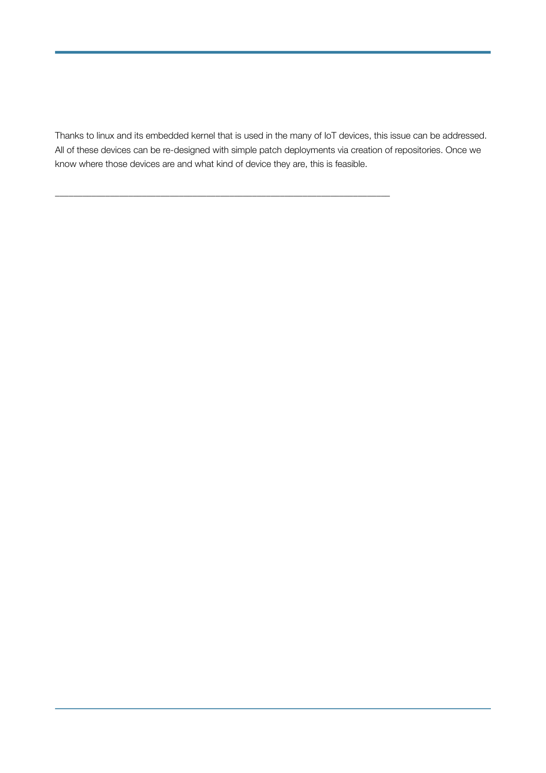Thanks to linux and its embedded kernel that is used in the many of IoT devices, this issue can be addressed. All of these devices can be re-designed with simple patch deployments via creation of repositories. Once we know where those devices are and what kind of device they are, this is feasible.

\_\_\_\_\_\_\_\_\_\_\_\_\_\_\_\_\_\_\_\_\_\_\_\_\_\_\_\_\_\_\_\_\_\_\_\_\_\_\_\_\_\_\_\_\_\_\_\_\_\_\_\_\_\_\_\_\_\_\_\_\_\_\_\_\_\_\_\_\_\_\_\_\_